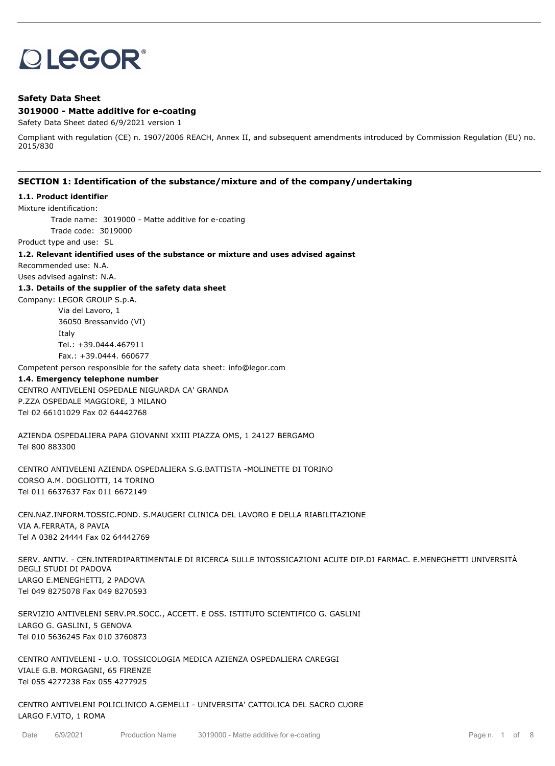# **OLEGOR®**

### **Safety Data Sheet 3019000 - Matte additive for e-coating**

Safety Data Sheet dated 6/9/2021 version 1

Compliant with regulation (CE) n. 1907/2006 REACH, Annex II, and subsequent amendments introduced by Commission Regulation (EU) no. 2015/830

### **SECTION 1: Identification of the substance/mixture and of the company/undertaking**

#### **1.1. Product identifier**

Mixture identification:

Trade name: 3019000 - Matte additive for e-coating

Trade code: 3019000

Product type and use: SL

#### **1.2. Relevant identified uses of the substance or mixture and uses advised against**

Recommended use: N.A.

Uses advised against: N.A.

#### **1.3. Details of the supplier of the safety data sheet**

Company: LEGOR GROUP S.p.A.

Via del Lavoro, 1 36050 Bressanvido (VI) Italy Tel.: +39.0444.467911 Fax.: +39.0444. 660677

Competent person responsible for the safety data sheet: info@legor.com

### **1.4. Emergency telephone number**

CENTRO ANTIVELENI OSPEDALE NIGUARDA CA' GRANDA P.ZZA OSPEDALE MAGGIORE, 3 MILANO Tel 02 66101029 Fax 02 64442768

AZIENDA OSPEDALIERA PAPA GIOVANNI XXIII PIAZZA OMS, 1 24127 BERGAMO Tel 800 883300

CENTRO ANTIVELENI AZIENDA OSPEDALIERA S.G.BATTISTA -MOLINETTE DI TORINO CORSO A.M. DOGLIOTTI, 14 TORINO Tel 011 6637637 Fax 011 6672149

CEN.NAZ.INFORM.TOSSIC.FOND. S.MAUGERI CLINICA DEL LAVORO E DELLA RIABILITAZIONE VIA A.FERRATA, 8 PAVIA Tel A 0382 24444 Fax 02 64442769

SERV. ANTIV. - CEN.INTERDIPARTIMENTALE DI RICERCA SULLE INTOSSICAZIONI ACUTE DIP.DI FARMAC. E.MENEGHETTI UNIVERSITÀ DEGLI STUDI DI PADOVA LARGO E.MENEGHETTI, 2 PADOVA Tel 049 8275078 Fax 049 8270593

SERVIZIO ANTIVELENI SERV.PR.SOCC., ACCETT. E OSS. ISTITUTO SCIENTIFICO G. GASLINI LARGO G. GASLINI, 5 GENOVA Tel 010 5636245 Fax 010 3760873

CENTRO ANTIVELENI - U.O. TOSSICOLOGIA MEDICA AZIENZA OSPEDALIERA CAREGGI VIALE G.B. MORGAGNI, 65 FIRENZE Tel 055 4277238 Fax 055 4277925

CENTRO ANTIVELENI POLICLINICO A.GEMELLI - UNIVERSITA' CATTOLICA DEL SACRO CUORE LARGO F.VITO, 1 ROMA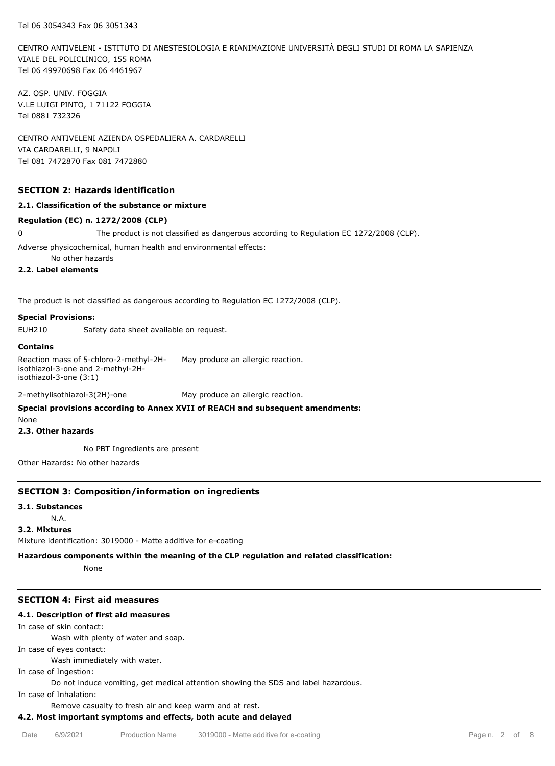CENTRO ANTIVELENI - ISTITUTO DI ANESTESIOLOGIA E RIANIMAZIONE UNIVERSITÀ DEGLI STUDI DI ROMA LA SAPIENZA VIALE DEL POLICLINICO, 155 ROMA Tel 06 49970698 Fax 06 4461967

AZ. OSP. UNIV. FOGGIA V.LE LUIGI PINTO, 1 71122 FOGGIA Tel 0881 732326

CENTRO ANTIVELENI AZIENDA OSPEDALIERA A. CARDARELLI VIA CARDARELLI, 9 NAPOLI Tel 081 7472870 Fax 081 7472880

### **SECTION 2: Hazards identification**

### **2.1. Classification of the substance or mixture**

#### **Regulation (EC) n. 1272/2008 (CLP)**

0 The product is not classified as dangerous according to Regulation EC 1272/2008 (CLP).

Adverse physicochemical, human health and environmental effects:

No other hazards

### **2.2. Label elements**

The product is not classified as dangerous according to Regulation EC 1272/2008 (CLP).

#### **Special Provisions:**

EUH210 Safety data sheet available on request.

#### **Contains**

Reaction mass of 5-chloro-2-methyl-2Hisothiazol-3-one and 2-methyl-2Hisothiazol-3-one (3:1) May produce an allergic reaction.

2-methylisothiazol-3(2H)-one May produce an allergic reaction.

### **Special provisions according to Annex XVII of REACH and subsequent amendments:**

None

#### **2.3. Other hazards**

No PBT Ingredients are present

Other Hazards: No other hazards

#### **SECTION 3: Composition/information on ingredients**

#### **3.1. Substances**

N.A.

### **3.2. Mixtures**

Mixture identification: 3019000 - Matte additive for e-coating

**Hazardous components within the meaning of the CLP regulation and related classification:**

None

### **SECTION 4: First aid measures**

### **4.1. Description of first aid measures**

In case of skin contact: Wash with plenty of water and soap. In case of eyes contact: Wash immediately with water. In case of Ingestion: Do not induce vomiting, get medical attention showing the SDS and label hazardous. In case of Inhalation:

Remove casualty to fresh air and keep warm and at rest.

### **4.2. Most important symptoms and effects, both acute and delayed**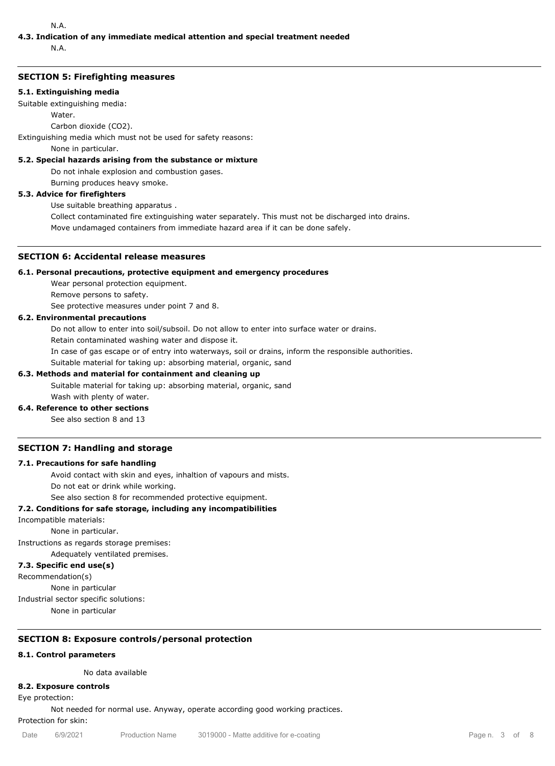### N.A.

## **4.3. Indication of any immediate medical attention and special treatment needed**

N.A.

### **SECTION 5: Firefighting measures**

### **5.1. Extinguishing media**

Suitable extinguishing media:

Water.

Carbon dioxide (CO2).

Extinguishing media which must not be used for safety reasons:

None in particular.

### **5.2. Special hazards arising from the substance or mixture**

Do not inhale explosion and combustion gases.

Burning produces heavy smoke.

### **5.3. Advice for firefighters**

Use suitable breathing apparatus .

Collect contaminated fire extinguishing water separately. This must not be discharged into drains.

Move undamaged containers from immediate hazard area if it can be done safely.

### **SECTION 6: Accidental release measures**

### **6.1. Personal precautions, protective equipment and emergency procedures**

Wear personal protection equipment.

Remove persons to safety.

See protective measures under point 7 and 8.

### **6.2. Environmental precautions**

Do not allow to enter into soil/subsoil. Do not allow to enter into surface water or drains.

Retain contaminated washing water and dispose it.

In case of gas escape or of entry into waterways, soil or drains, inform the responsible authorities.

Suitable material for taking up: absorbing material, organic, sand

### **6.3. Methods and material for containment and cleaning up**

Suitable material for taking up: absorbing material, organic, sand

### Wash with plenty of water. **6.4. Reference to other sections**

See also section 8 and 13

### **SECTION 7: Handling and storage**

### **7.1. Precautions for safe handling**

Avoid contact with skin and eyes, inhaltion of vapours and mists. Do not eat or drink while working.

See also section 8 for recommended protective equipment.

### **7.2. Conditions for safe storage, including any incompatibilities**

Incompatible materials:

None in particular.

Instructions as regards storage premises:

Adequately ventilated premises.

### **7.3. Specific end use(s)**

Recommendation(s)

None in particular

Industrial sector specific solutions:

None in particular

### **SECTION 8: Exposure controls/personal protection**

### **8.1. Control parameters**

No data available

### **8.2. Exposure controls**

Eye protection:

Not needed for normal use. Anyway, operate according good working practices.

Protection for skin: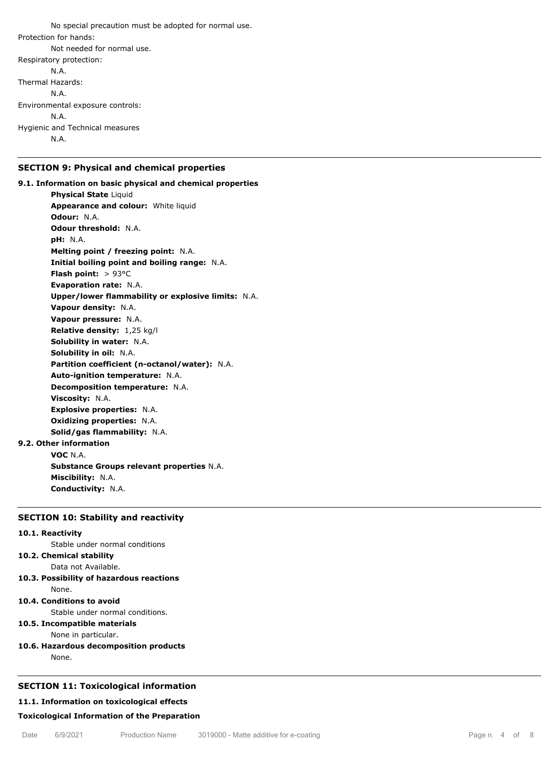No special precaution must be adopted for normal use. Protection for hands: Not needed for normal use. Respiratory protection: N.A. Thermal Hazards: N.A. Environmental exposure controls: N.A. Hygienic and Technical measures

N.A.

### **SECTION 9: Physical and chemical properties**

**9.1. Information on basic physical and chemical properties Physical State** Liquid **Appearance and colour:** White liquid **Odour:** N.A. **Odour threshold:** N.A. **pH:** N.A. **Melting point / freezing point:** N.A. **Initial boiling point and boiling range:** N.A. **Flash point:** > 93°C **Evaporation rate:** N.A. **Upper/lower flammability or explosive limits:** N.A. **Vapour density:** N.A. **Vapour pressure:** N.A. **Relative density:** 1,25 kg/l **Solubility in water:** N.A. **Solubility in oil:** N.A. **Partition coefficient (n-octanol/water):** N.A. **Auto-ignition temperature:** N.A. **Decomposition temperature:** N.A. **Viscosity:** N.A. **Explosive properties:** N.A. **Oxidizing properties:** N.A. **Solid/gas flammability:** N.A. **9.2. Other information VOC** N.A. **Substance Groups relevant properties** N.A. **Miscibility:** N.A.

**Conductivity:** N.A.

### **SECTION 10: Stability and reactivity**

#### **10.1. Reactivity**

Stable under normal conditions

### **10.2. Chemical stability**

Data not Available.

- **10.3. Possibility of hazardous reactions** None.
- **10.4. Conditions to avoid**

Stable under normal conditions.

**10.5. Incompatible materials**

None in particular.

**10.6. Hazardous decomposition products**

None.

### **SECTION 11: Toxicological information**

#### **11.1. Information on toxicological effects**

### **Toxicological Information of the Preparation**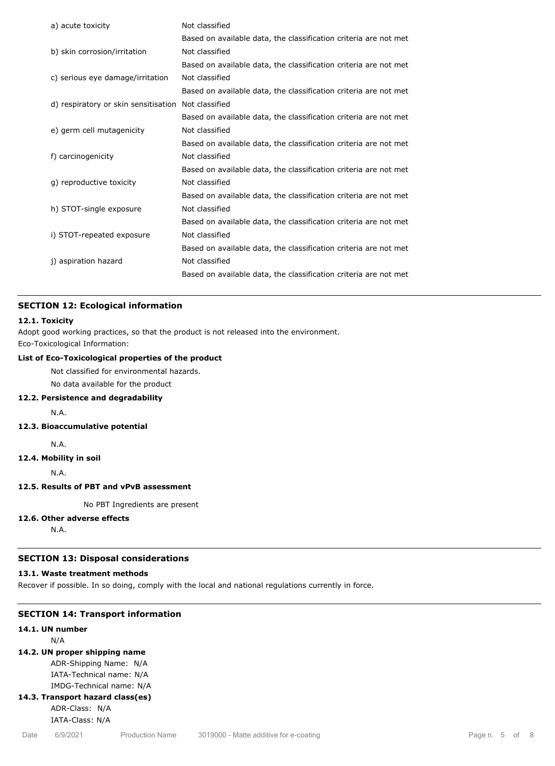| a) acute toxicity                    | Not classified                                                   |
|--------------------------------------|------------------------------------------------------------------|
|                                      | Based on available data, the classification criteria are not met |
| b) skin corrosion/irritation         | Not classified                                                   |
|                                      | Based on available data, the classification criteria are not met |
| c) serious eye damage/irritation     | Not classified                                                   |
|                                      | Based on available data, the classification criteria are not met |
| d) respiratory or skin sensitisation | Not classified                                                   |
|                                      | Based on available data, the classification criteria are not met |
| e) germ cell mutagenicity            | Not classified                                                   |
|                                      | Based on available data, the classification criteria are not met |
| f) carcinogenicity                   | Not classified                                                   |
|                                      | Based on available data, the classification criteria are not met |
| g) reproductive toxicity             | Not classified                                                   |
|                                      | Based on available data, the classification criteria are not met |
| h) STOT-single exposure              | Not classified                                                   |
|                                      | Based on available data, the classification criteria are not met |
| i) STOT-repeated exposure            | Not classified                                                   |
|                                      | Based on available data, the classification criteria are not met |
| j) aspiration hazard                 | Not classified                                                   |
|                                      | Based on available data, the classification criteria are not met |
|                                      |                                                                  |

### **SECTION 12: Ecological information**

### **12.1. Toxicity**

Adopt good working practices, so that the product is not released into the environment. Eco-Toxicological Information:

### **List of Eco-Toxicological properties of the product**

Not classified for environmental hazards.

No data available for the product

### **12.2. Persistence and degradability**

N.A.

### **12.3. Bioaccumulative potential**

N.A.

### **12.4. Mobility in soil**

N.A.

### **12.5. Results of PBT and vPvB assessment**

No PBT Ingredients are present

### **12.6. Other adverse effects**

N.A.

### **SECTION 13: Disposal considerations**

### **13.1. Waste treatment methods**

Recover if possible. In so doing, comply with the local and national regulations currently in force.

### **SECTION 14: Transport information**

### **14.1. UN number**

N/A

### **14.2. UN proper shipping name**

ADR-Shipping Name: N/A IATA-Technical name: N/A

IMDG-Technical name: N/A

### **14.3. Transport hazard class(es)**

ADR-Class: N/A

### IATA-Class: N/A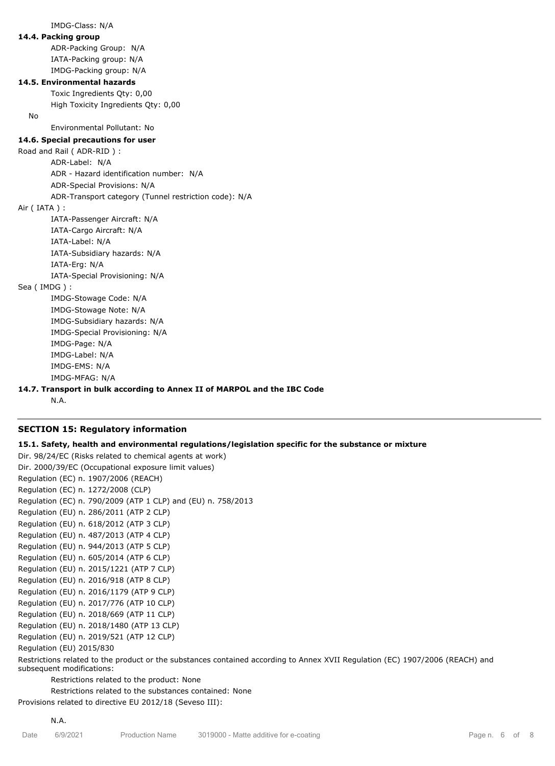IMDG-Class: N/A **14.4. Packing group** ADR-Packing Group: N/A IATA-Packing group: N/A IMDG-Packing group: N/A **14.5. Environmental hazards** Toxic Ingredients Qty: 0,00 High Toxicity Ingredients Qty: 0,00 No Environmental Pollutant: No **14.6. Special precautions for user** Road and Rail ( ADR-RID ) : ADR-Label: N/A ADR - Hazard identification number: N/A ADR-Special Provisions: N/A ADR-Transport category (Tunnel restriction code): N/A Air ( IATA ) : IATA-Passenger Aircraft: N/A IATA-Cargo Aircraft: N/A IATA-Label: N/A IATA-Subsidiary hazards: N/A IATA-Erg: N/A IATA-Special Provisioning: N/A Sea ( IMDG ) : IMDG-Stowage Code: N/A IMDG-Stowage Note: N/A IMDG-Subsidiary hazards: N/A IMDG-Special Provisioning: N/A IMDG-Page: N/A IMDG-Label: N/A IMDG-EMS: N/A IMDG-MFAG: N/A **14.7. Transport in bulk according to Annex II of MARPOL and the IBC Code**

### **SECTION 15: Regulatory information**

N.A.

N.A.

**15.1. Safety, health and environmental regulations/legislation specific for the substance or mixture**

Dir. 98/24/EC (Risks related to chemical agents at work) Dir. 2000/39/EC (Occupational exposure limit values) Regulation (EC) n. 1907/2006 (REACH) Regulation (EC) n. 1272/2008 (CLP) Regulation (EC) n. 790/2009 (ATP 1 CLP) and (EU) n. 758/2013 Regulation (EU) n. 286/2011 (ATP 2 CLP) Regulation (EU) n. 618/2012 (ATP 3 CLP) Regulation (EU) n. 487/2013 (ATP 4 CLP) Regulation (EU) n. 944/2013 (ATP 5 CLP) Regulation (EU) n. 605/2014 (ATP 6 CLP) Regulation (EU) n. 2015/1221 (ATP 7 CLP) Regulation (EU) n. 2016/918 (ATP 8 CLP) Regulation (EU) n. 2016/1179 (ATP 9 CLP) Regulation (EU) n. 2017/776 (ATP 10 CLP) Regulation (EU) n. 2018/669 (ATP 11 CLP) Regulation (EU) n. 2018/1480 (ATP 13 CLP) Regulation (EU) n. 2019/521 (ATP 12 CLP) Regulation (EU) 2015/830

Restrictions related to the product or the substances contained according to Annex XVII Regulation (EC) 1907/2006 (REACH) and subsequent modifications:

Restrictions related to the product: None

Restrictions related to the substances contained: None

Provisions related to directive EU 2012/18 (Seveso III):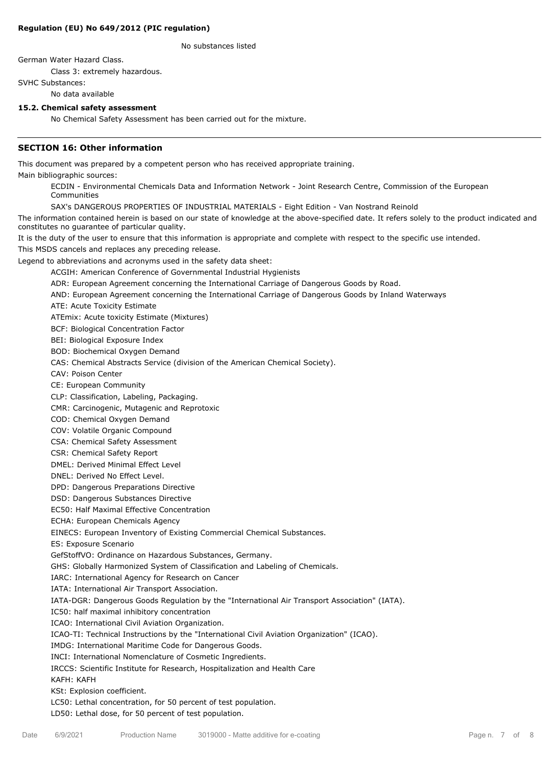### **Regulation (EU) No 649/2012 (PIC regulation)**

No substances listed

German Water Hazard Class.

Class 3: extremely hazardous.

SVHC Substances:

No data available

### **15.2. Chemical safety assessment**

No Chemical Safety Assessment has been carried out for the mixture.

### **SECTION 16: Other information**

This document was prepared by a competent person who has received appropriate training.

Main bibliographic sources:

ECDIN - Environmental Chemicals Data and Information Network - Joint Research Centre, Commission of the European Communities

SAX's DANGEROUS PROPERTIES OF INDUSTRIAL MATERIALS - Eight Edition - Van Nostrand Reinold

The information contained herein is based on our state of knowledge at the above-specified date. It refers solely to the product indicated and constitutes no guarantee of particular quality.

It is the duty of the user to ensure that this information is appropriate and complete with respect to the specific use intended.

This MSDS cancels and replaces any preceding release.

Legend to abbreviations and acronyms used in the safety data sheet:

ACGIH: American Conference of Governmental Industrial Hygienists

ADR: European Agreement concerning the International Carriage of Dangerous Goods by Road.

AND: European Agreement concerning the International Carriage of Dangerous Goods by Inland Waterways

ATE: Acute Toxicity Estimate

ATEmix: Acute toxicity Estimate (Mixtures)

BCF: Biological Concentration Factor

BEI: Biological Exposure Index

BOD: Biochemical Oxygen Demand

CAS: Chemical Abstracts Service (division of the American Chemical Society).

CAV: Poison Center

CE: European Community

CLP: Classification, Labeling, Packaging.

CMR: Carcinogenic, Mutagenic and Reprotoxic

COD: Chemical Oxygen Demand

COV: Volatile Organic Compound

CSA: Chemical Safety Assessment

CSR: Chemical Safety Report

DMEL: Derived Minimal Effect Level

DNEL: Derived No Effect Level.

DPD: Dangerous Preparations Directive

DSD: Dangerous Substances Directive

EC50: Half Maximal Effective Concentration

ECHA: European Chemicals Agency

EINECS: European Inventory of Existing Commercial Chemical Substances.

ES: Exposure Scenario

GefStoffVO: Ordinance on Hazardous Substances, Germany.

GHS: Globally Harmonized System of Classification and Labeling of Chemicals.

IARC: International Agency for Research on Cancer

IATA: International Air Transport Association.

IATA-DGR: Dangerous Goods Regulation by the "International Air Transport Association" (IATA).

IC50: half maximal inhibitory concentration

ICAO: International Civil Aviation Organization.

ICAO-TI: Technical Instructions by the "International Civil Aviation Organization" (ICAO).

IMDG: International Maritime Code for Dangerous Goods.

INCI: International Nomenclature of Cosmetic Ingredients.

IRCCS: Scientific Institute for Research, Hospitalization and Health Care

KAFH: KAFH

KSt: Explosion coefficient.

LC50: Lethal concentration, for 50 percent of test population.

LD50: Lethal dose, for 50 percent of test population.